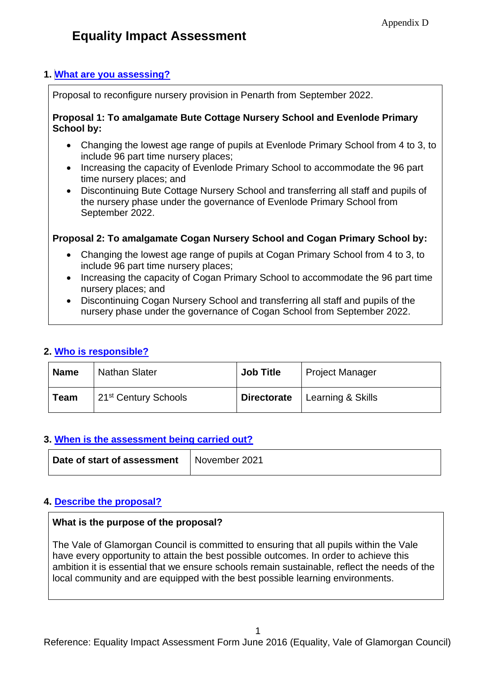## **1. [What are you assessing?](file:///C:/Users/nhinton/Documents/Offline%20Records%20(EP)/General%20-%20Human%20Resources%20-%20Equal%20Opportunities%20-%20Line%20Manager/Revised%20Draft%20Guidance%20on%20Partnership%20EIA%20Form%2030%20July%202014.DOCX%23AssessWhat1)**

Proposal to reconfigure nursery provision in Penarth from September 2022.

#### **Proposal 1: To amalgamate Bute Cottage Nursery School and Evenlode Primary School by:**

- Changing the lowest age range of pupils at Evenlode Primary School from 4 to 3, to include 96 part time nursery places;
- Increasing the capacity of Evenlode Primary School to accommodate the 96 part time nursery places; and
- Discontinuing Bute Cottage Nursery School and transferring all staff and pupils of the nursery phase under the governance of Evenlode Primary School from September 2022.

## **Proposal 2: To amalgamate Cogan Nursery School and Cogan Primary School by:**

- Changing the lowest age range of pupils at Cogan Primary School from 4 to 3, to include 96 part time nursery places;
- Increasing the capacity of Cogan Primary School to accommodate the 96 part time nursery places; and
- Discontinuing Cogan Nursery School and transferring all staff and pupils of the nursery phase under the governance of Cogan School from September 2022.

## **2. [Who is responsible?](file:///C:/Users/nhinton/Documents/Offline%20Records%20(EP)/General%20-%20Human%20Resources%20-%20Equal%20Opportunities%20-%20Line%20Manager/Revised%20Draft%20Guidance%20on%20Partnership%20EIA%20Form%2030%20July%202014.DOCX%23WhoResponsible2)**

| <b>Name</b> | <b>Nathan Slater</b>             | <b>Job Title</b>   | <b>Project Manager</b> |
|-------------|----------------------------------|--------------------|------------------------|
| Team        | 21 <sup>st</sup> Century Schools | <b>Directorate</b> | Learning & Skills      |

# **3. [When is the assessment being carried out?](file:///C:/Users/nhinton/Documents/Offline%20Records%20(EP)/General%20-%20Human%20Resources%20-%20Equal%20Opportunities%20-%20Line%20Manager/Revised%20Draft%20Guidance%20on%20Partnership%20EIA%20Form%2030%20July%202014.DOCX%23WhenAssess3)**

| Date of start of assessment | November 2021 |
|-----------------------------|---------------|
|                             |               |

## **4. [Describe the proposal?](file:///C:/Users/nhinton/Documents/Offline%20Records%20(EP)/General%20-%20Human%20Resources%20-%20Equal%20Opportunities%20-%20Line%20Manager/Revised%20Draft%20Guidance%20on%20Partnership%20EIA%20Form%2030%20July%202014.DOCX%23AboutProposal4)**

## **What is the purpose of the proposal?**

The Vale of Glamorgan Council is committed to ensuring that all pupils within the Vale have every opportunity to attain the best possible outcomes. In order to achieve this ambition it is essential that we ensure schools remain sustainable, reflect the needs of the local community and are equipped with the best possible learning environments.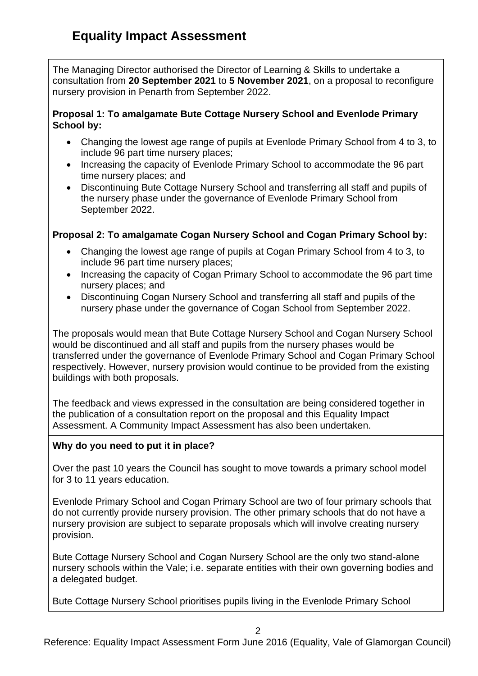The Managing Director authorised the Director of Learning & Skills to undertake a consultation from **20 September 2021** to **5 November 2021**, on a proposal to reconfigure nursery provision in Penarth from September 2022.

### **Proposal 1: To amalgamate Bute Cottage Nursery School and Evenlode Primary School by:**

- Changing the lowest age range of pupils at Evenlode Primary School from 4 to 3, to include 96 part time nursery places;
- Increasing the capacity of Evenlode Primary School to accommodate the 96 part time nursery places; and
- Discontinuing Bute Cottage Nursery School and transferring all staff and pupils of the nursery phase under the governance of Evenlode Primary School from September 2022.

# **Proposal 2: To amalgamate Cogan Nursery School and Cogan Primary School by:**

- Changing the lowest age range of pupils at Cogan Primary School from 4 to 3, to include 96 part time nursery places;
- Increasing the capacity of Cogan Primary School to accommodate the 96 part time nursery places; and
- Discontinuing Cogan Nursery School and transferring all staff and pupils of the nursery phase under the governance of Cogan School from September 2022.

The proposals would mean that Bute Cottage Nursery School and Cogan Nursery School would be discontinued and all staff and pupils from the nursery phases would be transferred under the governance of Evenlode Primary School and Cogan Primary School respectively. However, nursery provision would continue to be provided from the existing buildings with both proposals.

The feedback and views expressed in the consultation are being considered together in the publication of a consultation report on the proposal and this Equality Impact Assessment. A Community Impact Assessment has also been undertaken.

## **Why do you need to put it in place?**

Over the past 10 years the Council has sought to move towards a primary school model for 3 to 11 years education.

Evenlode Primary School and Cogan Primary School are two of four primary schools that do not currently provide nursery provision. The other primary schools that do not have a nursery provision are subject to separate proposals which will involve creating nursery provision.

Bute Cottage Nursery School and Cogan Nursery School are the only two stand-alone nursery schools within the Vale; i.e. separate entities with their own governing bodies and a delegated budget.

Bute Cottage Nursery School prioritises pupils living in the Evenlode Primary School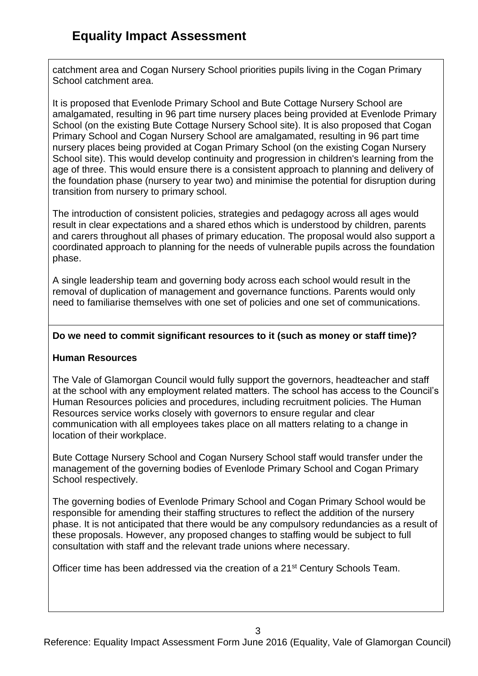catchment area and Cogan Nursery School priorities pupils living in the Cogan Primary School catchment area.

It is proposed that Evenlode Primary School and Bute Cottage Nursery School are amalgamated, resulting in 96 part time nursery places being provided at Evenlode Primary School (on the existing Bute Cottage Nursery School site). It is also proposed that Cogan Primary School and Cogan Nursery School are amalgamated, resulting in 96 part time nursery places being provided at Cogan Primary School (on the existing Cogan Nursery School site). This would develop continuity and progression in children's learning from the age of three. This would ensure there is a consistent approach to planning and delivery of the foundation phase (nursery to year two) and minimise the potential for disruption during transition from nursery to primary school.

The introduction of consistent policies, strategies and pedagogy across all ages would result in clear expectations and a shared ethos which is understood by children, parents and carers throughout all phases of primary education. The proposal would also support a coordinated approach to planning for the needs of vulnerable pupils across the foundation phase.

A single leadership team and governing body across each school would result in the removal of duplication of management and governance functions. Parents would only need to familiarise themselves with one set of policies and one set of communications.

#### **Do we need to commit significant resources to it (such as money or staff time)?**

#### **Human Resources**

The Vale of Glamorgan Council would fully support the governors, headteacher and staff at the school with any employment related matters. The school has access to the Council's Human Resources policies and procedures, including recruitment policies. The Human Resources service works closely with governors to ensure regular and clear communication with all employees takes place on all matters relating to a change in location of their workplace.

Bute Cottage Nursery School and Cogan Nursery School staff would transfer under the management of the governing bodies of Evenlode Primary School and Cogan Primary School respectively.

The governing bodies of Evenlode Primary School and Cogan Primary School would be responsible for amending their staffing structures to reflect the addition of the nursery phase. It is not anticipated that there would be any compulsory redundancies as a result of these proposals. However, any proposed changes to staffing would be subject to full consultation with staff and the relevant trade unions where necessary.

Officer time has been addressed via the creation of a 21<sup>st</sup> Century Schools Team.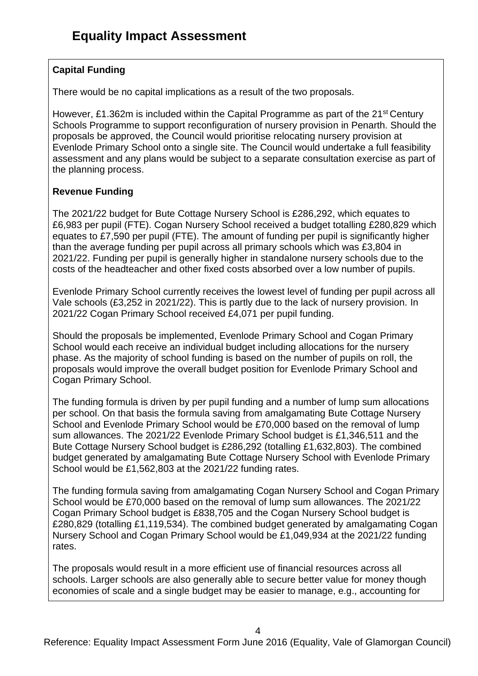# **Capital Funding**

There would be no capital implications as a result of the two proposals.

However, £1.362m is included within the Capital Programme as part of the 21<sup>st</sup> Century Schools Programme to support reconfiguration of nursery provision in Penarth. Should the proposals be approved, the Council would prioritise relocating nursery provision at Evenlode Primary School onto a single site. The Council would undertake a full feasibility assessment and any plans would be subject to a separate consultation exercise as part of the planning process.

# **Revenue Funding**

The 2021/22 budget for Bute Cottage Nursery School is £286,292, which equates to £6,983 per pupil (FTE). Cogan Nursery School received a budget totalling £280,829 which equates to £7,590 per pupil (FTE). The amount of funding per pupil is significantly higher than the average funding per pupil across all primary schools which was £3,804 in 2021/22. Funding per pupil is generally higher in standalone nursery schools due to the costs of the headteacher and other fixed costs absorbed over a low number of pupils.

Evenlode Primary School currently receives the lowest level of funding per pupil across all Vale schools (£3,252 in 2021/22). This is partly due to the lack of nursery provision. In 2021/22 Cogan Primary School received £4,071 per pupil funding.

Should the proposals be implemented, Evenlode Primary School and Cogan Primary School would each receive an individual budget including allocations for the nursery phase. As the majority of school funding is based on the number of pupils on roll, the proposals would improve the overall budget position for Evenlode Primary School and Cogan Primary School.

The funding formula is driven by per pupil funding and a number of lump sum allocations per school. On that basis the formula saving from amalgamating Bute Cottage Nursery School and Evenlode Primary School would be £70,000 based on the removal of lump sum allowances. The 2021/22 Evenlode Primary School budget is £1,346,511 and the Bute Cottage Nursery School budget is £286,292 (totalling £1,632,803). The combined budget generated by amalgamating Bute Cottage Nursery School with Evenlode Primary School would be £1,562,803 at the 2021/22 funding rates.

The funding formula saving from amalgamating Cogan Nursery School and Cogan Primary School would be £70,000 based on the removal of lump sum allowances. The 2021/22 Cogan Primary School budget is £838,705 and the Cogan Nursery School budget is £280,829 (totalling £1,119,534). The combined budget generated by amalgamating Cogan Nursery School and Cogan Primary School would be £1,049,934 at the 2021/22 funding rates.

The proposals would result in a more efficient use of financial resources across all schools. Larger schools are also generally able to secure better value for money though economies of scale and a single budget may be easier to manage, e.g., accounting for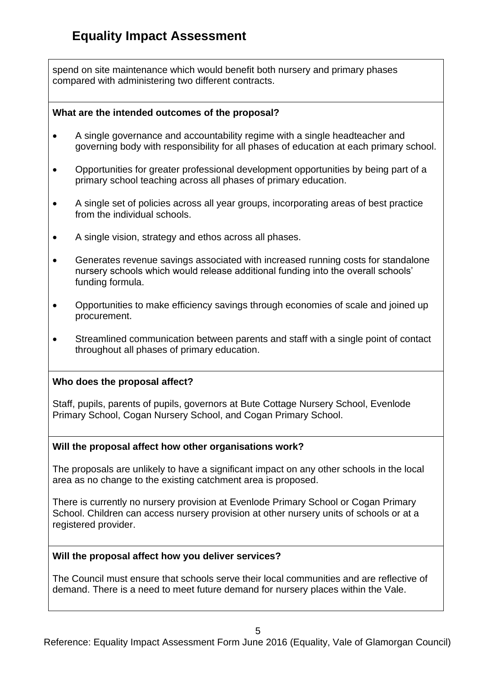spend on site maintenance which would benefit both nursery and primary phases compared with administering two different contracts.

#### **What are the intended outcomes of the proposal?**

- A single governance and accountability regime with a single headteacher and governing body with responsibility for all phases of education at each primary school.
- Opportunities for greater professional development opportunities by being part of a primary school teaching across all phases of primary education.
- A single set of policies across all year groups, incorporating areas of best practice from the individual schools.
- A single vision, strategy and ethos across all phases.
- Generates revenue savings associated with increased running costs for standalone nursery schools which would release additional funding into the overall schools' funding formula.
- Opportunities to make efficiency savings through economies of scale and joined up procurement.
- Streamlined communication between parents and staff with a single point of contact throughout all phases of primary education.

#### **Who does the proposal affect?**

Staff, pupils, parents of pupils, governors at Bute Cottage Nursery School, Evenlode Primary School, Cogan Nursery School, and Cogan Primary School.

#### **Will the proposal affect how other organisations work?**

The proposals are unlikely to have a significant impact on any other schools in the local area as no change to the existing catchment area is proposed.

There is currently no nursery provision at Evenlode Primary School or Cogan Primary School. Children can access nursery provision at other nursery units of schools or at a registered provider.

#### **Will the proposal affect how you deliver services?**

The Council must ensure that schools serve their local communities and are reflective of demand. There is a need to meet future demand for nursery places within the Vale.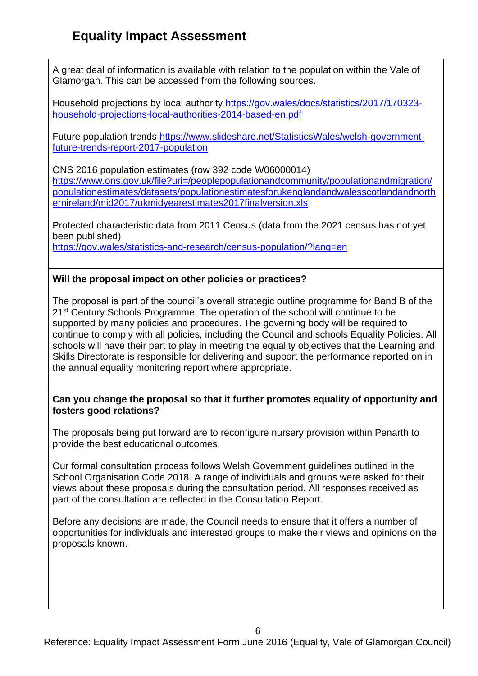A great deal of information is available with relation to the population within the Vale of Glamorgan. This can be accessed from the following sources.

Household projections by local authority [https://gov.wales/docs/statistics/2017/170323](https://gov.wales/docs/statistics/2017/170323-household-projections-local-authorities-2014-based-en.pdf) [household-projections-local-authorities-2014-based-en.pdf](https://gov.wales/docs/statistics/2017/170323-household-projections-local-authorities-2014-based-en.pdf)

Future population trends [https://www.slideshare.net/StatisticsWales/welsh-government](https://www.slideshare.net/StatisticsWales/welsh-government-future-trends-report-2017-population)[future-trends-report-2017-population](https://www.slideshare.net/StatisticsWales/welsh-government-future-trends-report-2017-population)

ONS 2016 population estimates (row 392 code W06000014) [https://www.ons.gov.uk/file?uri=/peoplepopulationandcommunity/populationandmigration/](https://www.ons.gov.uk/file?uri=/peoplepopulationandcommunity/populationandmigration/populationestimates/datasets/populationestimatesforukenglandandwalesscotlandandnorthernireland/mid2017/ukmidyearestimates2017finalversion.xls) [populationestimates/datasets/populationestimatesforukenglandandwalesscotlandandnorth](https://www.ons.gov.uk/file?uri=/peoplepopulationandcommunity/populationandmigration/populationestimates/datasets/populationestimatesforukenglandandwalesscotlandandnorthernireland/mid2017/ukmidyearestimates2017finalversion.xls) [ernireland/mid2017/ukmidyearestimates2017finalversion.xls](https://www.ons.gov.uk/file?uri=/peoplepopulationandcommunity/populationandmigration/populationestimates/datasets/populationestimatesforukenglandandwalesscotlandandnorthernireland/mid2017/ukmidyearestimates2017finalversion.xls)

Protected characteristic data from 2011 Census (data from the 2021 census has not yet been published) <https://gov.wales/statistics-and-research/census-population/?lang=en>

## **Will the proposal impact on other policies or practices?**

The proposal is part of the council's overall [strategic outline programme](http://www.valeofglamorgan.gov.uk/en/living/schools/schools_in_the_vale/21st-Century-Schools/21st-Century-Schools.aspx) for Band B of the 21<sup>st</sup> Century Schools Programme. The operation of the school will continue to be supported by many policies and procedures. The governing body will be required to continue to comply with all policies, including the Council and schools Equality Policies. All schools will have their part to play in meeting the equality objectives that the Learning and Skills Directorate is responsible for delivering and support the performance reported on in the annual equality monitoring report where appropriate.

### **Can you change the proposal so that it further promotes equality of opportunity and fosters good relations?**

The proposals being put forward are to reconfigure nursery provision within Penarth to provide the best educational outcomes.

Our formal consultation process follows Welsh Government guidelines outlined in the School Organisation Code 2018. A range of individuals and groups were asked for their views about these proposals during the consultation period. All responses received as part of the consultation are reflected in the Consultation Report.

Before any decisions are made, the Council needs to ensure that it offers a number of opportunities for individuals and interested groups to make their views and opinions on the proposals known.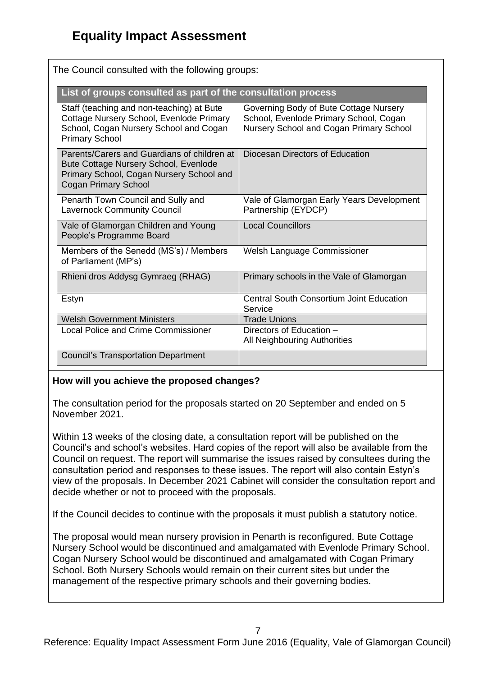| The Council consulted with the following groups:                                                                                                                |                                                                                                                             |
|-----------------------------------------------------------------------------------------------------------------------------------------------------------------|-----------------------------------------------------------------------------------------------------------------------------|
| List of groups consulted as part of the consultation process                                                                                                    |                                                                                                                             |
| Staff (teaching and non-teaching) at Bute<br>Cottage Nursery School, Evenlode Primary<br>School, Cogan Nursery School and Cogan<br><b>Primary School</b>        | Governing Body of Bute Cottage Nursery<br>School, Evenlode Primary School, Cogan<br>Nursery School and Cogan Primary School |
| Parents/Carers and Guardians of children at<br>Bute Cottage Nursery School, Evenlode<br>Primary School, Cogan Nursery School and<br><b>Cogan Primary School</b> | Diocesan Directors of Education                                                                                             |
| Penarth Town Council and Sully and<br><b>Lavernock Community Council</b>                                                                                        | Vale of Glamorgan Early Years Development<br>Partnership (EYDCP)                                                            |
| Vale of Glamorgan Children and Young<br>People's Programme Board                                                                                                | <b>Local Councillors</b>                                                                                                    |
| Members of the Senedd (MS's) / Members<br>of Parliament (MP's)                                                                                                  | Welsh Language Commissioner                                                                                                 |
| Rhieni dros Addysg Gymraeg (RHAG)                                                                                                                               | Primary schools in the Vale of Glamorgan                                                                                    |
| Estyn                                                                                                                                                           | <b>Central South Consortium Joint Education</b><br>Service                                                                  |
| <b>Welsh Government Ministers</b>                                                                                                                               | <b>Trade Unions</b>                                                                                                         |
| <b>Local Police and Crime Commissioner</b>                                                                                                                      | Directors of Education -<br>All Neighbouring Authorities                                                                    |
| <b>Council's Transportation Department</b>                                                                                                                      |                                                                                                                             |

# The Council consulted with the following groups:

#### **How will you achieve the proposed changes?**

The consultation period for the proposals started on 20 September and ended on 5 November 2021.

Within 13 weeks of the closing date, a consultation report will be published on the Council's and school's websites. Hard copies of the report will also be available from the Council on request. The report will summarise the issues raised by consultees during the consultation period and responses to these issues. The report will also contain Estyn's view of the proposals. In December 2021 Cabinet will consider the consultation report and decide whether or not to proceed with the proposals.

If the Council decides to continue with the proposals it must publish a statutory notice.

The proposal would mean nursery provision in Penarth is reconfigured. Bute Cottage Nursery School would be discontinued and amalgamated with Evenlode Primary School. Cogan Nursery School would be discontinued and amalgamated with Cogan Primary School. Both Nursery Schools would remain on their current sites but under the management of the respective primary schools and their governing bodies.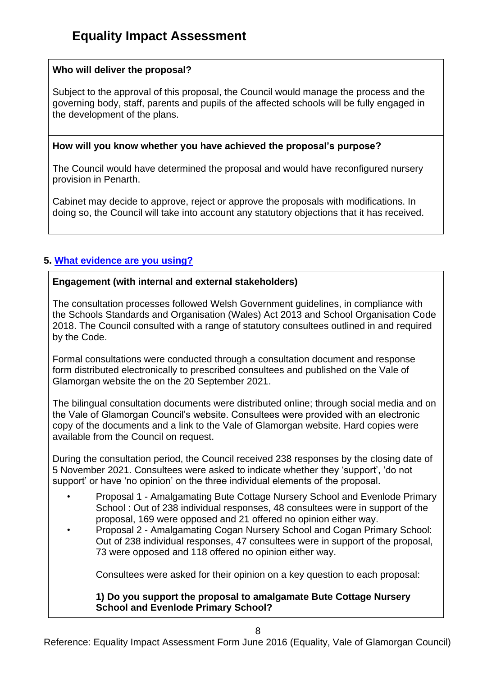## **Who will deliver the proposal?**

Subject to the approval of this proposal, the Council would manage the process and the governing body, staff, parents and pupils of the affected schools will be fully engaged in the development of the plans.

### **How will you know whether you have achieved the proposal's purpose?**

The Council would have determined the proposal and would have reconfigured nursery provision in Penarth.

Cabinet may decide to approve, reject or approve the proposals with modifications. In doing so, the Council will take into account any statutory objections that it has received.

## **5. [What evidence are you using?](file:///C:/Users/nhinton/Documents/Offline%20Records%20(EP)/General%20-%20Human%20Resources%20-%20Equal%20Opportunities%20-%20Line%20Manager/Revised%20Draft%20Guidance%20on%20Partnership%20EIA%20Form%2030%20July%202014.DOCX%23WhatEvidence5)**

### **Engagement (with internal and external stakeholders)**

The consultation processes followed Welsh Government guidelines, in compliance with the Schools Standards and Organisation (Wales) Act 2013 and School Organisation Code 2018. The Council consulted with a range of statutory consultees outlined in and required by the Code.

Formal consultations were conducted through a consultation document and response form distributed electronically to prescribed consultees and published on the Vale of Glamorgan website the on the 20 September 2021.

The bilingual consultation documents were distributed online; through social media and on the Vale of Glamorgan Council's website. Consultees were provided with an electronic copy of the documents and a link to the Vale of Glamorgan website. Hard copies were available from the Council on request.

During the consultation period, the Council received 238 responses by the closing date of 5 November 2021. Consultees were asked to indicate whether they 'support', 'do not support' or have 'no opinion' on the three individual elements of the proposal.

- Proposal 1 Amalgamating Bute Cottage Nursery School and Evenlode Primary School : Out of 238 individual responses, 48 consultees were in support of the proposal, 169 were opposed and 21 offered no opinion either way.
- Proposal 2 Amalgamating Cogan Nursery School and Cogan Primary School: Out of 238 individual responses, 47 consultees were in support of the proposal, 73 were opposed and 118 offered no opinion either way.

Consultees were asked for their opinion on a key question to each proposal:

#### **1) Do you support the proposal to amalgamate Bute Cottage Nursery School and Evenlode Primary School?**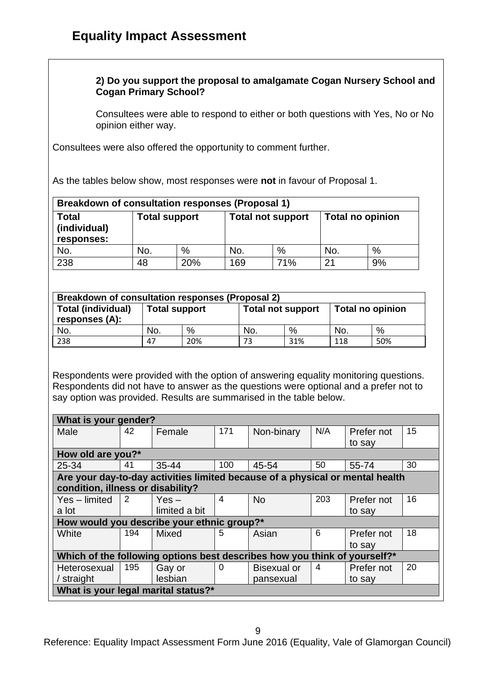## **2) Do you support the proposal to amalgamate Cogan Nursery School and Cogan Primary School?**

Consultees were able to respond to either or both questions with Yes, No or No opinion either way.

Consultees were also offered the opportunity to comment further.

As the tables below show, most responses were **not** in favour of Proposal 1.

| Breakdown of consultation responses (Proposal 1) |                      |     |                          |      |                         |    |
|--------------------------------------------------|----------------------|-----|--------------------------|------|-------------------------|----|
| <b>Total</b><br>(individual)<br>responses:       | <b>Total support</b> |     | <b>Total not support</b> |      | <b>Total no opinion</b> |    |
| No.                                              | No.                  | %   | No.                      | $\%$ | No.                     | %  |
| 238                                              | 48                   | 20% | 169                      | 71%  | 21                      | 9% |

| <b>Breakdown of consultation responses (Proposal 2)</b> |                      |     |                          |     |                         |     |
|---------------------------------------------------------|----------------------|-----|--------------------------|-----|-------------------------|-----|
| <b>Total (individual)</b><br>responses (A):             | <b>Total support</b> |     | <b>Total not support</b> |     | <b>Total no opinion</b> |     |
| No.                                                     | No.                  | %   | No.                      | %   | No.                     | %   |
| 238                                                     | 47                   | 20% | 73                       | 31% | 118                     | 50% |

Respondents were provided with the option of answering equality monitoring questions. Respondents did not have to answer as the questions were optional and a prefer not to say option was provided. Results are summarised in the table below.

| What is your gender?                                                          |                                                                           |               |                |                    |     |            |    |
|-------------------------------------------------------------------------------|---------------------------------------------------------------------------|---------------|----------------|--------------------|-----|------------|----|
| Male                                                                          | 42                                                                        | Female        | 171            | Non-binary         | N/A | Prefer not | 15 |
|                                                                               |                                                                           |               |                |                    |     | to say     |    |
| How old are you?*                                                             |                                                                           |               |                |                    |     |            |    |
| 25-34                                                                         | 41                                                                        | 35-44         | 100            | 45-54              | 50  | 55-74      | 30 |
| Are your day-to-day activities limited because of a physical or mental health |                                                                           |               |                |                    |     |            |    |
| condition, illness or disability?                                             |                                                                           |               |                |                    |     |            |    |
| Yes - limited                                                                 | 2                                                                         | $Yes -$       | $\overline{4}$ | <b>No</b>          | 203 | Prefer not | 16 |
| a lot                                                                         |                                                                           | limited a bit |                |                    |     | to say     |    |
| How would you describe your ethnic group?*                                    |                                                                           |               |                |                    |     |            |    |
| White                                                                         | 194                                                                       | <b>Mixed</b>  | 5              | Asian              | 6   | Prefer not | 18 |
|                                                                               |                                                                           |               |                |                    |     | to say     |    |
|                                                                               | Which of the following options best describes how you think of yourself?* |               |                |                    |     |            |    |
| Heterosexual                                                                  | 195                                                                       | Gay or        | 0              | <b>Bisexual or</b> | 4   | Prefer not | 20 |
| / straight                                                                    |                                                                           | lesbian       |                | pansexual          |     | to say     |    |
| What is your legal marital status?*                                           |                                                                           |               |                |                    |     |            |    |

Reference: Equality Impact Assessment Form June 2016 (Equality, Vale of Glamorgan Council)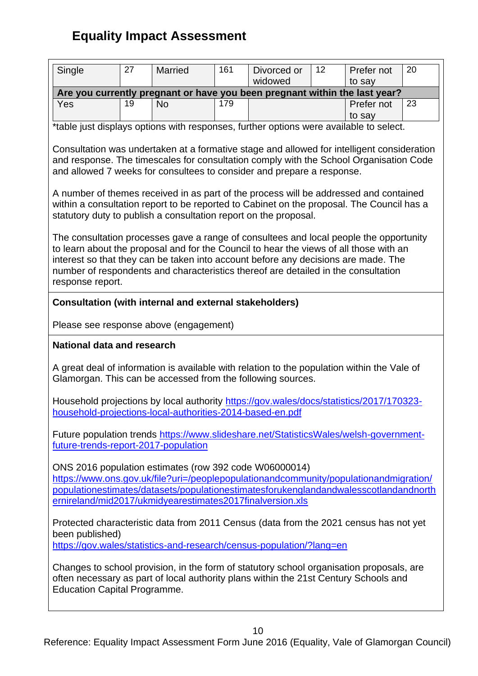| Single                                                                                                                                                                                                                  | 27 | Married                                                       | 161 | Divorced or                                                                                                                                                                                                                                                                                                                                                  | 12 <sup>2</sup> | Prefer not | 20 |
|-------------------------------------------------------------------------------------------------------------------------------------------------------------------------------------------------------------------------|----|---------------------------------------------------------------|-----|--------------------------------------------------------------------------------------------------------------------------------------------------------------------------------------------------------------------------------------------------------------------------------------------------------------------------------------------------------------|-----------------|------------|----|
|                                                                                                                                                                                                                         |    |                                                               |     | widowed                                                                                                                                                                                                                                                                                                                                                      |                 | to say     |    |
|                                                                                                                                                                                                                         |    |                                                               |     | Are you currently pregnant or have you been pregnant within the last year?                                                                                                                                                                                                                                                                                   |                 |            |    |
| Yes                                                                                                                                                                                                                     | 19 | <b>No</b>                                                     | 179 |                                                                                                                                                                                                                                                                                                                                                              |                 | Prefer not | 23 |
|                                                                                                                                                                                                                         |    |                                                               |     |                                                                                                                                                                                                                                                                                                                                                              |                 | to say     |    |
| *table just displays options with responses, further options were available to select.                                                                                                                                  |    |                                                               |     |                                                                                                                                                                                                                                                                                                                                                              |                 |            |    |
|                                                                                                                                                                                                                         |    |                                                               |     | Consultation was undertaken at a formative stage and allowed for intelligent consideration<br>and response. The timescales for consultation comply with the School Organisation Code<br>and allowed 7 weeks for consultees to consider and prepare a response.                                                                                               |                 |            |    |
|                                                                                                                                                                                                                         |    |                                                               |     | A number of themes received in as part of the process will be addressed and contained<br>within a consultation report to be reported to Cabinet on the proposal. The Council has a<br>statutory duty to publish a consultation report on the proposal.                                                                                                       |                 |            |    |
| response report.                                                                                                                                                                                                        |    |                                                               |     | The consultation processes gave a range of consultees and local people the opportunity<br>to learn about the proposal and for the Council to hear the views of all those with an<br>interest so that they can be taken into account before any decisions are made. The<br>number of respondents and characteristics thereof are detailed in the consultation |                 |            |    |
|                                                                                                                                                                                                                         |    | <b>Consultation (with internal and external stakeholders)</b> |     |                                                                                                                                                                                                                                                                                                                                                              |                 |            |    |
|                                                                                                                                                                                                                         |    |                                                               |     |                                                                                                                                                                                                                                                                                                                                                              |                 |            |    |
|                                                                                                                                                                                                                         |    | Please see response above (engagement)                        |     |                                                                                                                                                                                                                                                                                                                                                              |                 |            |    |
| <b>National data and research</b>                                                                                                                                                                                       |    |                                                               |     |                                                                                                                                                                                                                                                                                                                                                              |                 |            |    |
|                                                                                                                                                                                                                         |    |                                                               |     | A great deal of information is available with relation to the population within the Vale of<br>Glamorgan. This can be accessed from the following sources.                                                                                                                                                                                                   |                 |            |    |
|                                                                                                                                                                                                                         |    |                                                               |     | Household projections by local authority https://gov.wales/docs/statistics/2017/170323-<br>household-projections-local-authorities-2014-based-en.pdf                                                                                                                                                                                                         |                 |            |    |
| Future population trends https://www.slideshare.net/StatisticsWales/welsh-government-<br>future-trends-report-2017-population                                                                                           |    |                                                               |     |                                                                                                                                                                                                                                                                                                                                                              |                 |            |    |
|                                                                                                                                                                                                                         |    |                                                               |     | ONS 2016 population estimates (row 392 code W06000014)                                                                                                                                                                                                                                                                                                       |                 |            |    |
|                                                                                                                                                                                                                         |    |                                                               |     | https://www.ons.gov.uk/file?uri=/peoplepopulationandcommunity/populationandmigration/                                                                                                                                                                                                                                                                        |                 |            |    |
|                                                                                                                                                                                                                         |    |                                                               |     | populationestimates/datasets/populationestimatesforukenglandandwalesscotlandandnorth                                                                                                                                                                                                                                                                         |                 |            |    |
|                                                                                                                                                                                                                         |    |                                                               |     | ernireland/mid2017/ukmidyearestimates2017finalversion.xls                                                                                                                                                                                                                                                                                                    |                 |            |    |
| Protected characteristic data from 2011 Census (data from the 2021 census has not yet                                                                                                                                   |    |                                                               |     |                                                                                                                                                                                                                                                                                                                                                              |                 |            |    |
| been published)<br>https://gov.wales/statistics-and-research/census-population/?lang=en                                                                                                                                 |    |                                                               |     |                                                                                                                                                                                                                                                                                                                                                              |                 |            |    |
| Changes to school provision, in the form of statutory school organisation proposals, are<br>often necessary as part of local authority plans within the 21st Century Schools and<br><b>Education Capital Programme.</b> |    |                                                               |     |                                                                                                                                                                                                                                                                                                                                                              |                 |            |    |
|                                                                                                                                                                                                                         |    |                                                               |     | 10                                                                                                                                                                                                                                                                                                                                                           |                 |            |    |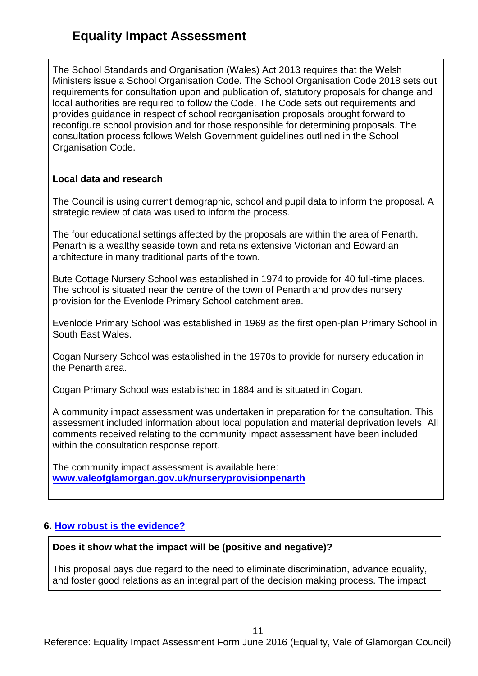The School Standards and Organisation (Wales) Act 2013 requires that the Welsh Ministers issue a School Organisation Code. The School Organisation Code 2018 sets out requirements for consultation upon and publication of, statutory proposals for change and local authorities are required to follow the Code. The Code sets out requirements and provides guidance in respect of school reorganisation proposals brought forward to reconfigure school provision and for those responsible for determining proposals. The consultation process follows Welsh Government guidelines outlined in the School Organisation Code.

### **Local data and research**

The Council is using current demographic, school and pupil data to inform the proposal. A strategic review of data was used to inform the process.

The four educational settings affected by the proposals are within the area of Penarth. Penarth is a wealthy seaside town and retains extensive Victorian and Edwardian architecture in many traditional parts of the town.

Bute Cottage Nursery School was established in 1974 to provide for 40 full-time places. The school is situated near the centre of the town of Penarth and provides nursery provision for the Evenlode Primary School catchment area.

Evenlode Primary School was established in 1969 as the first open-plan Primary School in South East Wales.

Cogan Nursery School was established in the 1970s to provide for nursery education in the Penarth area.

Cogan Primary School was established in 1884 and is situated in Cogan.

A community impact assessment was undertaken in preparation for the consultation. This assessment included information about local population and material deprivation levels. All comments received relating to the community impact assessment have been included within the consultation response report.

The community impact assessment is available here: **[www.valeofglamorgan.gov.uk/nurseryprovisionpenarth](http://www.valeofglamorgan.gov.uk/nurseryprovisionpenarth)**

# **6. [How robust is the evidence?](file:///C:/Users/nhinton/Documents/Offline%20Records%20(EP)/General%20-%20Human%20Resources%20-%20Equal%20Opportunities%20-%20Line%20Manager/Revised%20Draft%20Guidance%20on%20Partnership%20EIA%20Form%2030%20July%202014.DOCX%23RobustEvidence6)**

#### **Does it show what the impact will be (positive and negative)?**

This proposal pays due regard to the need to eliminate discrimination, advance equality, and foster good relations as an integral part of the decision making process. The impact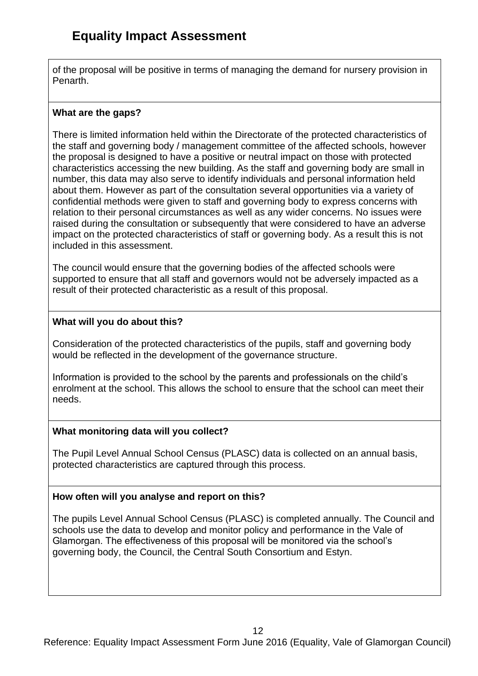of the proposal will be positive in terms of managing the demand for nursery provision in Penarth.

## **What are the gaps?**

There is limited information held within the Directorate of the protected characteristics of the staff and governing body / management committee of the affected schools, however the proposal is designed to have a positive or neutral impact on those with protected characteristics accessing the new building. As the staff and governing body are small in number, this data may also serve to identify individuals and personal information held about them. However as part of the consultation several opportunities via a variety of confidential methods were given to staff and governing body to express concerns with relation to their personal circumstances as well as any wider concerns. No issues were raised during the consultation or subsequently that were considered to have an adverse impact on the protected characteristics of staff or governing body. As a result this is not included in this assessment.

The council would ensure that the governing bodies of the affected schools were supported to ensure that all staff and governors would not be adversely impacted as a result of their protected characteristic as a result of this proposal.

## **What will you do about this?**

Consideration of the protected characteristics of the pupils, staff and governing body would be reflected in the development of the governance structure.

Information is provided to the school by the parents and professionals on the child's enrolment at the school. This allows the school to ensure that the school can meet their needs.

## **What monitoring data will you collect?**

The Pupil Level Annual School Census (PLASC) data is collected on an annual basis, protected characteristics are captured through this process.

# **How often will you analyse and report on this?**

The pupils Level Annual School Census (PLASC) is completed annually. The Council and schools use the data to develop and monitor policy and performance in the Vale of Glamorgan. The effectiveness of this proposal will be monitored via the school's governing body, the Council, the Central South Consortium and Estyn.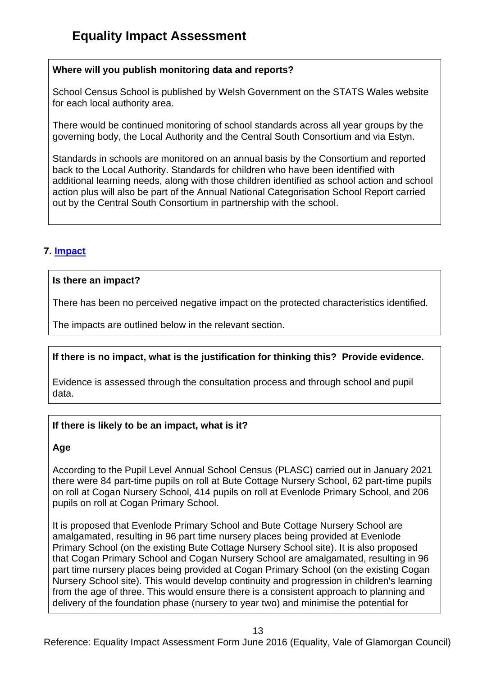## **Where will you publish monitoring data and reports?**

School Census School is published by Welsh Government on the STATS Wales website for each local authority area.

There would be continued monitoring of school standards across all year groups by the governing body, the Local Authority and the Central South Consortium and via Estyn.

Standards in schools are monitored on an annual basis by the Consortium and reported back to the Local Authority. Standards for children who have been identified with additional learning needs, along with those children identified as school action and school action plus will also be part of the Annual National Categorisation School Report carried out by the Central South Consortium in partnership with the school.

# **7. [Impact](file:///C:/Users/nhinton/Documents/Offline%20Records%20(EP)/General%20-%20Human%20Resources%20-%20Equal%20Opportunities%20-%20Line%20Manager/Revised%20Draft%20Guidance%20on%20Partnership%20EIA%20Form%2030%20July%202014.DOCX%23Impact7)**

### **Is there an impact?**

There has been no perceived negative impact on the protected characteristics identified.

The impacts are outlined below in the relevant section.

## **If there is no impact, what is the justification for thinking this? Provide evidence.**

Evidence is assessed through the consultation process and through school and pupil data.

## **If there is likely to be an impact, what is it?**

#### **Age**

According to the Pupil Level Annual School Census (PLASC) carried out in January 2021 there were 84 part-time pupils on roll at Bute Cottage Nursery School, 62 part-time pupils on roll at Cogan Nursery School, 414 pupils on roll at Evenlode Primary School, and 206 pupils on roll at Cogan Primary School.

It is proposed that Evenlode Primary School and Bute Cottage Nursery School are amalgamated, resulting in 96 part time nursery places being provided at Evenlode Primary School (on the existing Bute Cottage Nursery School site). It is also proposed that Cogan Primary School and Cogan Nursery School are amalgamated, resulting in 96 part time nursery places being provided at Cogan Primary School (on the existing Cogan Nursery School site). This would develop continuity and progression in children's learning from the age of three. This would ensure there is a consistent approach to planning and delivery of the foundation phase (nursery to year two) and minimise the potential for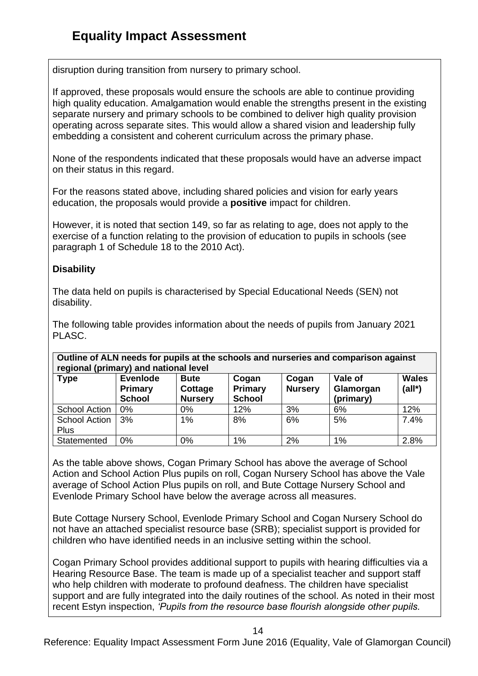disruption during transition from nursery to primary school.

If approved, these proposals would ensure the schools are able to continue providing high quality education. Amalgamation would enable the strengths present in the existing separate nursery and primary schools to be combined to deliver high quality provision operating across separate sites. This would allow a shared vision and leadership fully embedding a consistent and coherent curriculum across the primary phase.

None of the respondents indicated that these proposals would have an adverse impact on their status in this regard.

For the reasons stated above, including shared policies and vision for early years education, the proposals would provide a **positive** impact for children.

However, it is noted that section 149, so far as relating to age, does not apply to the exercise of a function relating to the provision of education to pupils in schools (see paragraph 1 of Schedule 18 to the 2010 Act).

## **Disability**

The data held on pupils is characterised by Special Educational Needs (SEN) not disability.

The following table provides information about the needs of pupils from January 2021 PLASC.

**Outline of ALN needs for pupils at the schools and nurseries and comparison against regional (primary) and national level** 

| <b>Type</b>                  | 1991<br><b>Evenlode</b><br>Primary<br><b>School</b> | <b>Bute</b><br>Cottage<br><b>Nursery</b> | Cogan<br>Primary<br><b>School</b> | Cogan<br><b>Nursery</b> | Vale of<br>Glamorgan<br>(primary) | <b>Wales</b><br>$(al*)$ |
|------------------------------|-----------------------------------------------------|------------------------------------------|-----------------------------------|-------------------------|-----------------------------------|-------------------------|
| School Action                | $0\%$                                               | $0\%$                                    | 12%                               | 3%                      | 6%                                | 12%                     |
| <b>School Action</b><br>Plus | 3%                                                  | 1%                                       | 8%                                | 6%                      | 5%                                | 7.4%                    |
| Statemented                  | 0%                                                  | 0%                                       | $1\%$                             | 2%                      | $1\%$                             | 2.8%                    |

As the table above shows, Cogan Primary School has above the average of School Action and School Action Plus pupils on roll, Cogan Nursery School has above the Vale average of School Action Plus pupils on roll, and Bute Cottage Nursery School and Evenlode Primary School have below the average across all measures.

Bute Cottage Nursery School, Evenlode Primary School and Cogan Nursery School do not have an attached specialist resource base (SRB); specialist support is provided for children who have identified needs in an inclusive setting within the school.

Cogan Primary School provides additional support to pupils with hearing difficulties via a Hearing Resource Base. The team is made up of a specialist teacher and support staff who help children with moderate to profound deafness. The children have specialist support and are fully integrated into the daily routines of the school. As noted in their most recent Estyn inspection, *'Pupils from the resource base flourish alongside other pupils.* 

14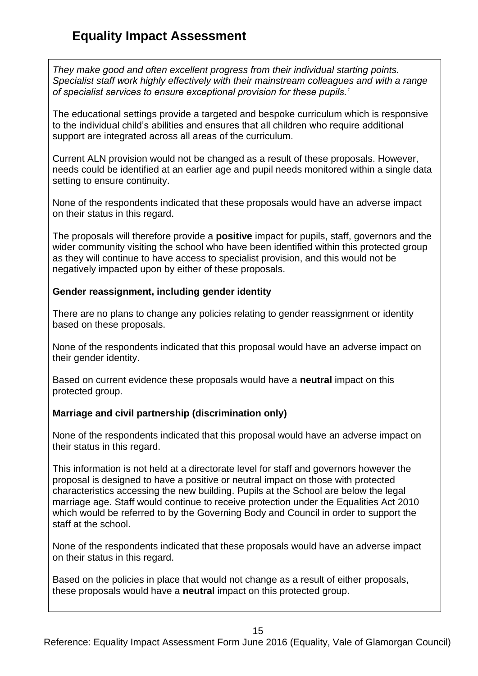*They make good and often excellent progress from their individual starting points. Specialist staff work highly effectively with their mainstream colleagues and with a range of specialist services to ensure exceptional provision for these pupils.'* 

The educational settings provide a targeted and bespoke curriculum which is responsive to the individual child's abilities and ensures that all children who require additional support are integrated across all areas of the curriculum.

Current ALN provision would not be changed as a result of these proposals. However, needs could be identified at an earlier age and pupil needs monitored within a single data setting to ensure continuity.

None of the respondents indicated that these proposals would have an adverse impact on their status in this regard.

The proposals will therefore provide a **positive** impact for pupils, staff, governors and the wider community visiting the school who have been identified within this protected group as they will continue to have access to specialist provision, and this would not be negatively impacted upon by either of these proposals.

## **Gender reassignment, including gender identity**

There are no plans to change any policies relating to gender reassignment or identity based on these proposals.

None of the respondents indicated that this proposal would have an adverse impact on their gender identity.

Based on current evidence these proposals would have a **neutral** impact on this protected group.

# **Marriage and civil partnership (discrimination only)**

None of the respondents indicated that this proposal would have an adverse impact on their status in this regard.

This information is not held at a directorate level for staff and governors however the proposal is designed to have a positive or neutral impact on those with protected characteristics accessing the new building. Pupils at the School are below the legal marriage age. Staff would continue to receive protection under the Equalities Act 2010 which would be referred to by the Governing Body and Council in order to support the staff at the school.

None of the respondents indicated that these proposals would have an adverse impact on their status in this regard.

Based on the policies in place that would not change as a result of either proposals, these proposals would have a **neutral** impact on this protected group.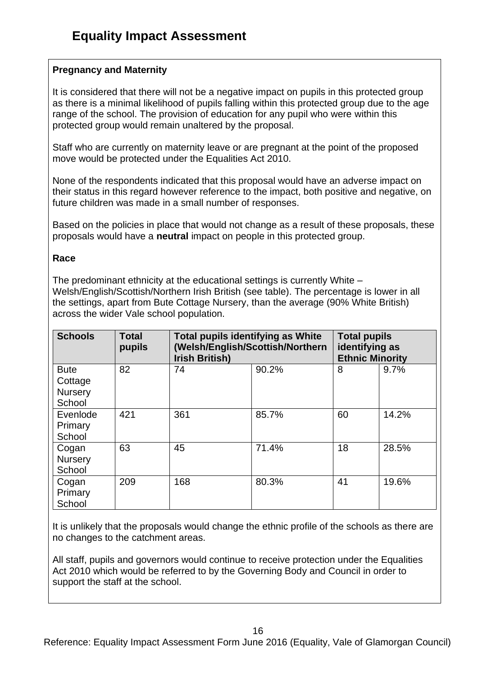## **Pregnancy and Maternity**

It is considered that there will not be a negative impact on pupils in this protected group as there is a minimal likelihood of pupils falling within this protected group due to the age range of the school. The provision of education for any pupil who were within this protected group would remain unaltered by the proposal.

Staff who are currently on maternity leave or are pregnant at the point of the proposed move would be protected under the Equalities Act 2010.

None of the respondents indicated that this proposal would have an adverse impact on their status in this regard however reference to the impact, both positive and negative, on future children was made in a small number of responses.

Based on the policies in place that would not change as a result of these proposals, these proposals would have a **neutral** impact on people in this protected group.

#### **Race**

The predominant ethnicity at the educational settings is currently White – Welsh/English/Scottish/Northern Irish British (see table). The percentage is lower in all the settings, apart from Bute Cottage Nursery, than the average (90% White British) across the wider Vale school population.

| <b>Schools</b>                              | <b>Total</b><br>pupils | <b>Total pupils identifying as White</b><br>(Welsh/English/Scottish/Northern<br><b>Irish British)</b> | <b>Total pupils</b><br>identifying as<br><b>Ethnic Minority</b> |    |       |
|---------------------------------------------|------------------------|-------------------------------------------------------------------------------------------------------|-----------------------------------------------------------------|----|-------|
| <b>Bute</b><br>Cottage<br>Nursery<br>School | 82                     | 74                                                                                                    | 90.2%                                                           | 8  | 9.7%  |
| Evenlode<br>Primary<br>School               | 421                    | 361                                                                                                   | 85.7%                                                           | 60 | 14.2% |
| Cogan<br>Nursery<br>School                  | 63                     | 45                                                                                                    | 71.4%                                                           | 18 | 28.5% |
| Cogan<br>Primary<br>School                  | 209                    | 168                                                                                                   | 80.3%                                                           | 41 | 19.6% |

It is unlikely that the proposals would change the ethnic profile of the schools as there are no changes to the catchment areas.

All staff, pupils and governors would continue to receive protection under the Equalities Act 2010 which would be referred to by the Governing Body and Council in order to support the staff at the school.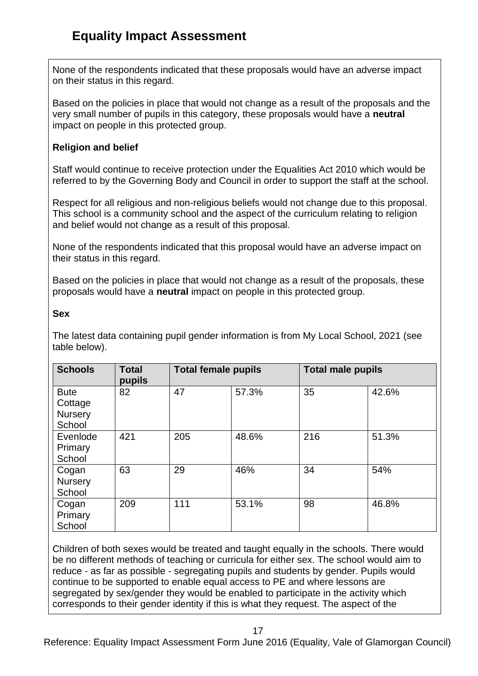None of the respondents indicated that these proposals would have an adverse impact on their status in this regard.

Based on the policies in place that would not change as a result of the proposals and the very small number of pupils in this category, these proposals would have a **neutral** impact on people in this protected group.

## **Religion and belief**

Staff would continue to receive protection under the Equalities Act 2010 which would be referred to by the Governing Body and Council in order to support the staff at the school.

Respect for all religious and non-religious beliefs would not change due to this proposal. This school is a community school and the aspect of the curriculum relating to religion and belief would not change as a result of this proposal.

None of the respondents indicated that this proposal would have an adverse impact on their status in this regard.

Based on the policies in place that would not change as a result of the proposals, these proposals would have a **neutral** impact on people in this protected group.

### **Sex**

The latest data containing pupil gender information is from My Local School, 2021 (see table below).

| <b>Schools</b>                                     | <b>Total</b><br>pupils | <b>Total female pupils</b> |       | <b>Total male pupils</b> |       |
|----------------------------------------------------|------------------------|----------------------------|-------|--------------------------|-------|
| <b>Bute</b><br>Cottage<br><b>Nursery</b><br>School | 82                     | 47                         | 57.3% | 35                       | 42.6% |
| Evenlode<br>Primary<br>School                      | 421                    | 205                        | 48.6% | 216                      | 51.3% |
| Cogan<br><b>Nursery</b><br>School                  | 63                     | 29                         | 46%   | 34                       | 54%   |
| Cogan<br>Primary<br>School                         | 209                    | 111                        | 53.1% | 98                       | 46.8% |

Children of both sexes would be treated and taught equally in the schools. There would be no different methods of teaching or curricula for either sex. The school would aim to reduce - as far as possible - segregating pupils and students by gender. Pupils would continue to be supported to enable equal access to PE and where lessons are segregated by sex/gender they would be enabled to participate in the activity which corresponds to their gender identity if this is what they request. The aspect of the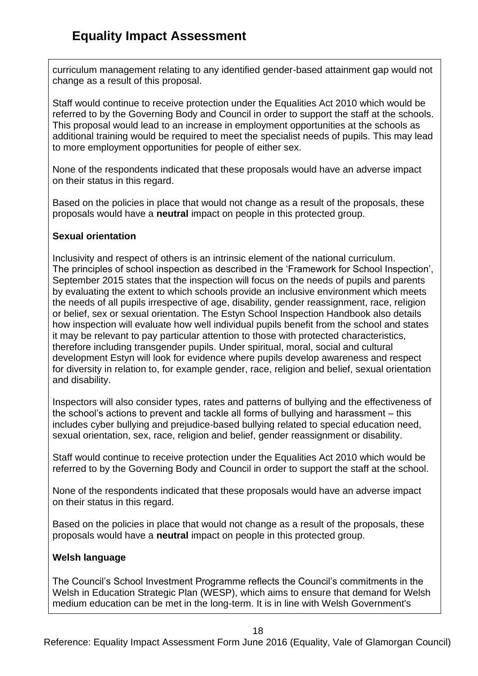curriculum management relating to any identified gender-based attainment gap would not change as a result of this proposal.

Staff would continue to receive protection under the Equalities Act 2010 which would be referred to by the Governing Body and Council in order to support the staff at the schools. This proposal would lead to an increase in employment opportunities at the schools as additional training would be required to meet the specialist needs of pupils. This may lead to more employment opportunities for people of either sex.

None of the respondents indicated that these proposals would have an adverse impact on their status in this regard.

Based on the policies in place that would not change as a result of the proposals, these proposals would have a **neutral** impact on people in this protected group.

## **Sexual orientation**

Inclusivity and respect of others is an intrinsic element of the national curriculum. The principles of school inspection as described in the 'Framework for School Inspection', September 2015 states that the inspection will focus on the needs of pupils and parents by evaluating the extent to which schools provide an inclusive environment which meets the needs of all pupils irrespective of age, disability, gender reassignment, race, religion or belief, sex or sexual orientation. The Estyn School Inspection Handbook also details how inspection will evaluate how well individual pupils benefit from the school and states it may be relevant to pay particular attention to those with protected characteristics, therefore including transgender pupils. Under spiritual, moral, social and cultural development Estyn will look for evidence where pupils develop awareness and respect for diversity in relation to, for example gender, race, religion and belief, sexual orientation and disability.

Inspectors will also consider types, rates and patterns of bullying and the effectiveness of the school's actions to prevent and tackle all forms of bullying and harassment – this includes cyber bullying and prejudice-based bullying related to special education need, sexual orientation, sex, race, religion and belief, gender reassignment or disability.

Staff would continue to receive protection under the Equalities Act 2010 which would be referred to by the Governing Body and Council in order to support the staff at the school.

None of the respondents indicated that these proposals would have an adverse impact on their status in this regard.

Based on the policies in place that would not change as a result of the proposals, these proposals would have a **neutral** impact on people in this protected group.

# **Welsh language**

The Council's School Investment Programme reflects the Council's commitments in the Welsh in Education Strategic Plan (WESP), which aims to ensure that demand for Welsh medium education can be met in the long-term. It is in line with Welsh Government's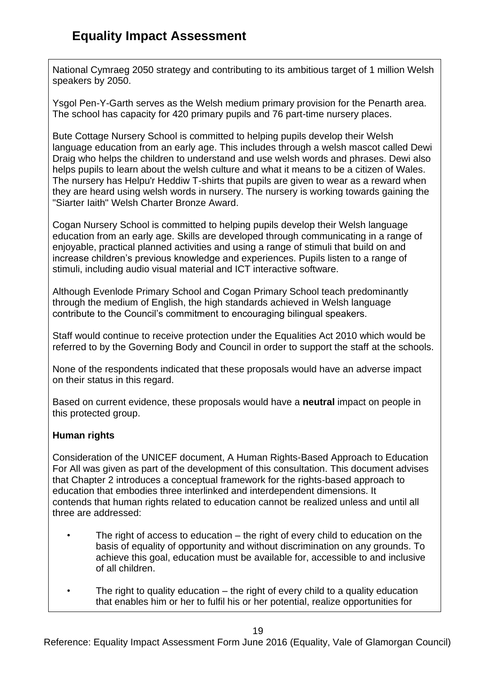National Cymraeg 2050 strategy and contributing to its ambitious target of 1 million Welsh speakers by 2050.

Ysgol Pen-Y-Garth serves as the Welsh medium primary provision for the Penarth area. The school has capacity for 420 primary pupils and 76 part-time nursery places.

Bute Cottage Nursery School is committed to helping pupils develop their Welsh language education from an early age. This includes through a welsh mascot called Dewi Draig who helps the children to understand and use welsh words and phrases. Dewi also helps pupils to learn about the welsh culture and what it means to be a citizen of Wales. The nursery has Helpu'r Heddiw T-shirts that pupils are given to wear as a reward when they are heard using welsh words in nursery. The nursery is working towards gaining the "Siarter Iaith" Welsh Charter Bronze Award.

Cogan Nursery School is committed to helping pupils develop their Welsh language education from an early age. Skills are developed through communicating in a range of enjoyable, practical planned activities and using a range of stimuli that build on and increase children's previous knowledge and experiences. Pupils listen to a range of stimuli, including audio visual material and ICT interactive software.

Although Evenlode Primary School and Cogan Primary School teach predominantly through the medium of English, the high standards achieved in Welsh language contribute to the Council's commitment to encouraging bilingual speakers.

Staff would continue to receive protection under the Equalities Act 2010 which would be referred to by the Governing Body and Council in order to support the staff at the schools.

None of the respondents indicated that these proposals would have an adverse impact on their status in this regard.

Based on current evidence, these proposals would have a **neutral** impact on people in this protected group.

# **Human rights**

Consideration of the UNICEF document, A Human Rights-Based Approach to Education For All was given as part of the development of this consultation. This document advises that Chapter 2 introduces a conceptual framework for the rights-based approach to education that embodies three interlinked and interdependent dimensions. It contends that human rights related to education cannot be realized unless and until all three are addressed:

- The right of access to education  $-$  the right of every child to education on the basis of equality of opportunity and without discrimination on any grounds. To achieve this goal, education must be available for, accessible to and inclusive of all children.
- The right to quality education the right of every child to a quality education that enables him or her to fulfil his or her potential, realize opportunities for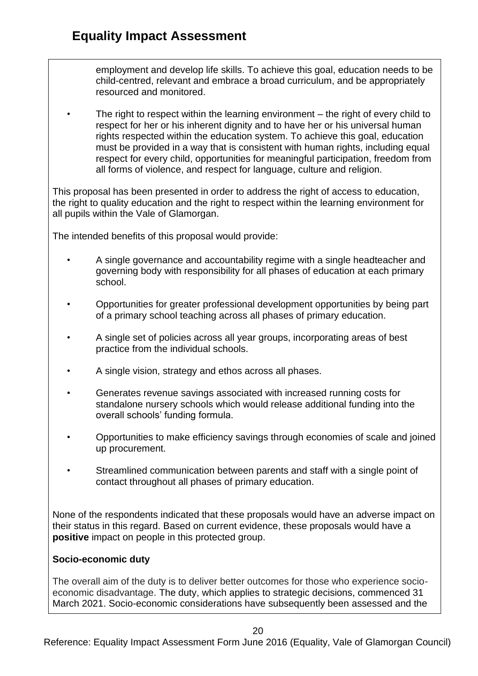employment and develop life skills. To achieve this goal, education needs to be child-centred, relevant and embrace a broad curriculum, and be appropriately resourced and monitored.

The right to respect within the learning environment  $-$  the right of every child to respect for her or his inherent dignity and to have her or his universal human rights respected within the education system. To achieve this goal, education must be provided in a way that is consistent with human rights, including equal respect for every child, opportunities for meaningful participation, freedom from all forms of violence, and respect for language, culture and religion.

This proposal has been presented in order to address the right of access to education, the right to quality education and the right to respect within the learning environment for all pupils within the Vale of Glamorgan.

The intended benefits of this proposal would provide:

- A single governance and accountability regime with a single headteacher and governing body with responsibility for all phases of education at each primary school.
- Opportunities for greater professional development opportunities by being part of a primary school teaching across all phases of primary education.
- A single set of policies across all year groups, incorporating areas of best practice from the individual schools.
- A single vision, strategy and ethos across all phases.
- Generates revenue savings associated with increased running costs for standalone nursery schools which would release additional funding into the overall schools' funding formula.
- Opportunities to make efficiency savings through economies of scale and joined up procurement.
- Streamlined communication between parents and staff with a single point of contact throughout all phases of primary education.

None of the respondents indicated that these proposals would have an adverse impact on their status in this regard. Based on current evidence, these proposals would have a **positive** impact on people in this protected group.

## **Socio-economic duty**

The overall aim of the duty is to deliver better outcomes for those who experience socioeconomic disadvantage. The duty, which applies to strategic decisions, commenced 31 March 2021. Socio-economic considerations have subsequently been assessed and the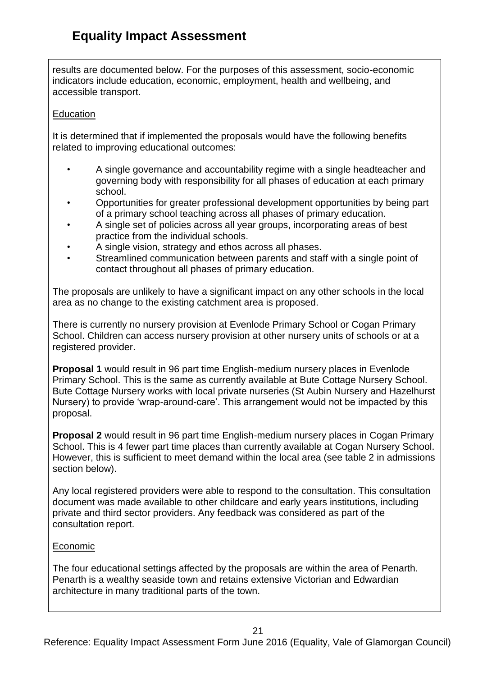results are documented below. For the purposes of this assessment, socio-economic indicators include education, economic, employment, health and wellbeing, and accessible transport.

### **Education**

It is determined that if implemented the proposals would have the following benefits related to improving educational outcomes:

- A single governance and accountability regime with a single headteacher and governing body with responsibility for all phases of education at each primary school.
- Opportunities for greater professional development opportunities by being part of a primary school teaching across all phases of primary education.
- A single set of policies across all year groups, incorporating areas of best practice from the individual schools.
- A single vision, strategy and ethos across all phases.
- Streamlined communication between parents and staff with a single point of contact throughout all phases of primary education.

The proposals are unlikely to have a significant impact on any other schools in the local area as no change to the existing catchment area is proposed.

There is currently no nursery provision at Evenlode Primary School or Cogan Primary School. Children can access nursery provision at other nursery units of schools or at a registered provider.

**Proposal 1** would result in 96 part time English-medium nursery places in Evenlode Primary School. This is the same as currently available at Bute Cottage Nursery School. Bute Cottage Nursery works with local private nurseries (St Aubin Nursery and Hazelhurst Nursery) to provide 'wrap-around-care'. This arrangement would not be impacted by this proposal.

**Proposal 2** would result in 96 part time English-medium nursery places in Cogan Primary School. This is 4 fewer part time places than currently available at Cogan Nursery School. However, this is sufficient to meet demand within the local area (see table 2 in admissions section below).

Any local registered providers were able to respond to the consultation. This consultation document was made available to other childcare and early years institutions, including private and third sector providers. Any feedback was considered as part of the consultation report.

## Economic

The four educational settings affected by the proposals are within the area of Penarth. Penarth is a wealthy seaside town and retains extensive Victorian and Edwardian architecture in many traditional parts of the town.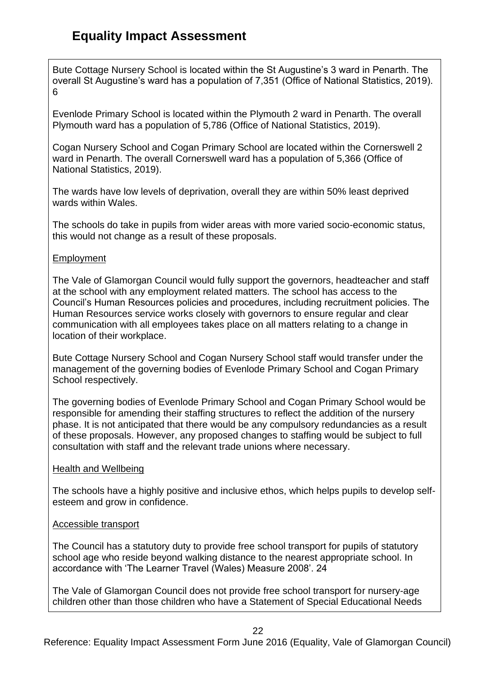Bute Cottage Nursery School is located within the St Augustine's 3 ward in Penarth. The overall St Augustine's ward has a population of 7,351 (Office of National Statistics, 2019). 6

Evenlode Primary School is located within the Plymouth 2 ward in Penarth. The overall Plymouth ward has a population of 5,786 (Office of National Statistics, 2019).

Cogan Nursery School and Cogan Primary School are located within the Cornerswell 2 ward in Penarth. The overall Cornerswell ward has a population of 5,366 (Office of National Statistics, 2019).

The wards have low levels of deprivation, overall they are within 50% least deprived wards within Wales.

The schools do take in pupils from wider areas with more varied socio-economic status, this would not change as a result of these proposals.

### Employment

The Vale of Glamorgan Council would fully support the governors, headteacher and staff at the school with any employment related matters. The school has access to the Council's Human Resources policies and procedures, including recruitment policies. The Human Resources service works closely with governors to ensure regular and clear communication with all employees takes place on all matters relating to a change in location of their workplace.

Bute Cottage Nursery School and Cogan Nursery School staff would transfer under the management of the governing bodies of Evenlode Primary School and Cogan Primary School respectively.

The governing bodies of Evenlode Primary School and Cogan Primary School would be responsible for amending their staffing structures to reflect the addition of the nursery phase. It is not anticipated that there would be any compulsory redundancies as a result of these proposals. However, any proposed changes to staffing would be subject to full consultation with staff and the relevant trade unions where necessary.

## Health and Wellbeing

The schools have a highly positive and inclusive ethos, which helps pupils to develop selfesteem and grow in confidence.

#### Accessible transport

The Council has a statutory duty to provide free school transport for pupils of statutory school age who reside beyond walking distance to the nearest appropriate school. In accordance with 'The Learner Travel (Wales) Measure 2008'. 24

The Vale of Glamorgan Council does not provide free school transport for nursery-age children other than those children who have a Statement of Special Educational Needs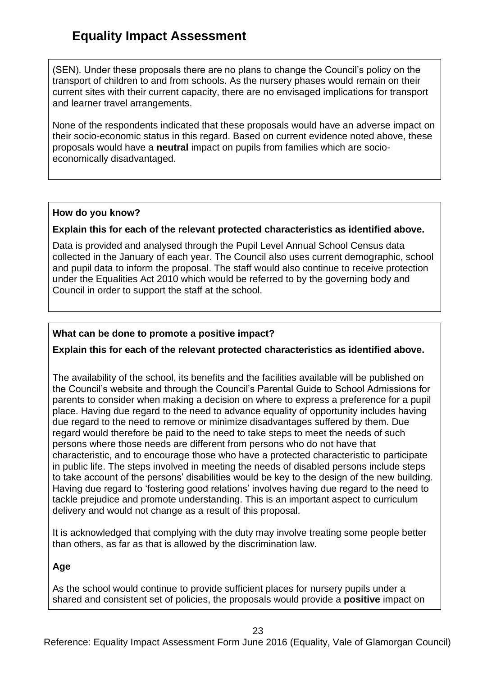(SEN). Under these proposals there are no plans to change the Council's policy on the transport of children to and from schools. As the nursery phases would remain on their current sites with their current capacity, there are no envisaged implications for transport and learner travel arrangements.

None of the respondents indicated that these proposals would have an adverse impact on their socio-economic status in this regard. Based on current evidence noted above, these proposals would have a **neutral** impact on pupils from families which are socioeconomically disadvantaged.

### **How do you know?**

### **Explain this for each of the relevant protected characteristics as identified above.**

Data is provided and analysed through the Pupil Level Annual School Census data collected in the January of each year. The Council also uses current demographic, school and pupil data to inform the proposal. The staff would also continue to receive protection under the Equalities Act 2010 which would be referred to by the governing body and Council in order to support the staff at the school.

## **What can be done to promote a positive impact?**

## **Explain this for each of the relevant protected characteristics as identified above.**

The availability of the school, its benefits and the facilities available will be published on the Council's website and through the Council's Parental Guide to School Admissions for parents to consider when making a decision on where to express a preference for a pupil place. Having due regard to the need to advance equality of opportunity includes having due regard to the need to remove or minimize disadvantages suffered by them. Due regard would therefore be paid to the need to take steps to meet the needs of such persons where those needs are different from persons who do not have that characteristic, and to encourage those who have a protected characteristic to participate in public life. The steps involved in meeting the needs of disabled persons include steps to take account of the persons' disabilities would be key to the design of the new building. Having due regard to 'fostering good relations' involves having due regard to the need to tackle prejudice and promote understanding. This is an important aspect to curriculum delivery and would not change as a result of this proposal.

It is acknowledged that complying with the duty may involve treating some people better than others, as far as that is allowed by the discrimination law.

## **Age**

As the school would continue to provide sufficient places for nursery pupils under a shared and consistent set of policies, the proposals would provide a **positive** impact on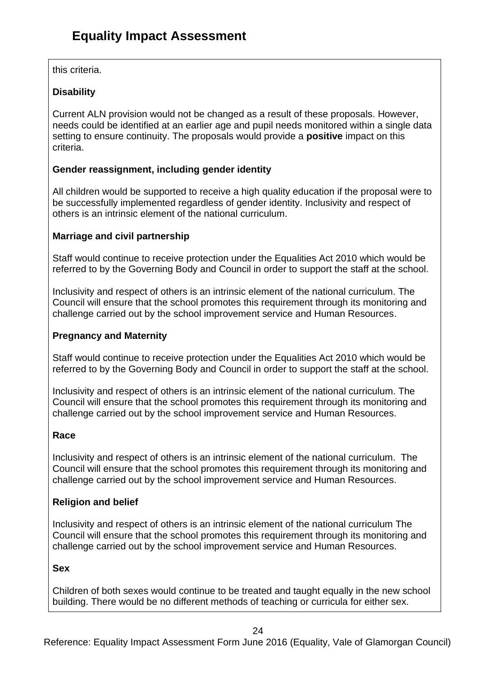this criteria.

# **Disability**

Current ALN provision would not be changed as a result of these proposals. However, needs could be identified at an earlier age and pupil needs monitored within a single data setting to ensure continuity. The proposals would provide a **positive** impact on this criteria.

# **Gender reassignment, including gender identity**

All children would be supported to receive a high quality education if the proposal were to be successfully implemented regardless of gender identity. Inclusivity and respect of others is an intrinsic element of the national curriculum.

# **Marriage and civil partnership**

Staff would continue to receive protection under the Equalities Act 2010 which would be referred to by the Governing Body and Council in order to support the staff at the school.

Inclusivity and respect of others is an intrinsic element of the national curriculum. The Council will ensure that the school promotes this requirement through its monitoring and challenge carried out by the school improvement service and Human Resources.

## **Pregnancy and Maternity**

Staff would continue to receive protection under the Equalities Act 2010 which would be referred to by the Governing Body and Council in order to support the staff at the school.

Inclusivity and respect of others is an intrinsic element of the national curriculum. The Council will ensure that the school promotes this requirement through its monitoring and challenge carried out by the school improvement service and Human Resources.

## **Race**

Inclusivity and respect of others is an intrinsic element of the national curriculum. The Council will ensure that the school promotes this requirement through its monitoring and challenge carried out by the school improvement service and Human Resources.

# **Religion and belief**

Inclusivity and respect of others is an intrinsic element of the national curriculum The Council will ensure that the school promotes this requirement through its monitoring and challenge carried out by the school improvement service and Human Resources.

## **Sex**

Children of both sexes would continue to be treated and taught equally in the new school building. There would be no different methods of teaching or curricula for either sex.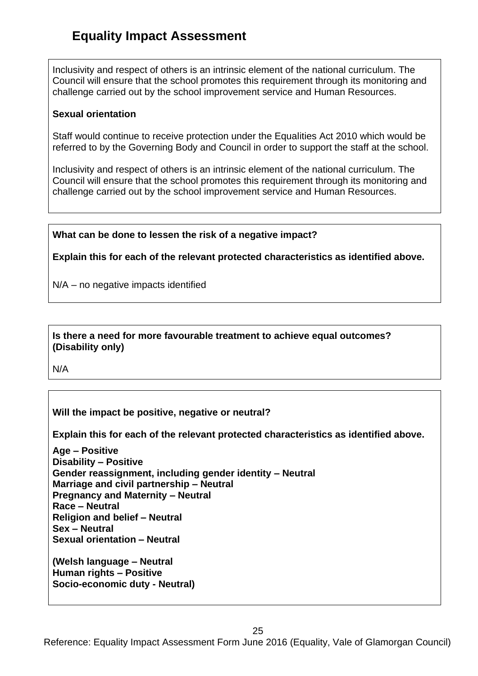Inclusivity and respect of others is an intrinsic element of the national curriculum. The Council will ensure that the school promotes this requirement through its monitoring and challenge carried out by the school improvement service and Human Resources.

#### **Sexual orientation**

Staff would continue to receive protection under the Equalities Act 2010 which would be referred to by the Governing Body and Council in order to support the staff at the school.

Inclusivity and respect of others is an intrinsic element of the national curriculum. The Council will ensure that the school promotes this requirement through its monitoring and challenge carried out by the school improvement service and Human Resources.

## **What can be done to lessen the risk of a negative impact?**

**Explain this for each of the relevant protected characteristics as identified above.**

N/A – no negative impacts identified

### **Is there a need for more favourable treatment to achieve equal outcomes? (Disability only)**

N/A

## **Will the impact be positive, negative or neutral?**

**Explain this for each of the relevant protected characteristics as identified above.**

**Age – Positive Disability – Positive Gender reassignment, including gender identity – Neutral Marriage and civil partnership – Neutral Pregnancy and Maternity – Neutral Race – Neutral Religion and belief – Neutral Sex – Neutral Sexual orientation – Neutral (Welsh language – Neutral**

**Human rights – Positive Socio-economic duty - Neutral)**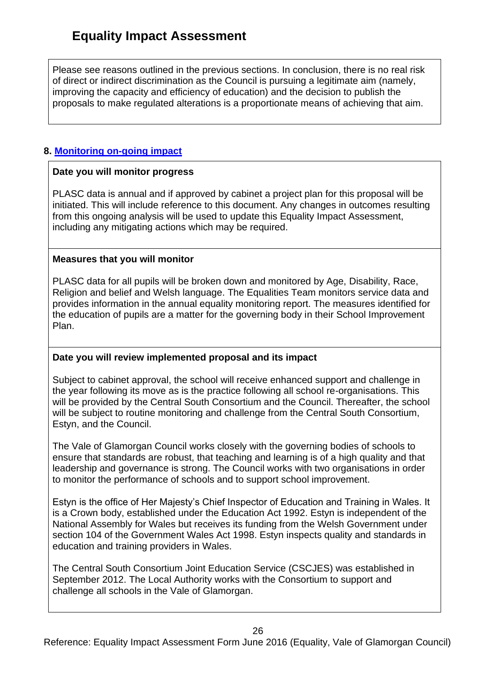Please see reasons outlined in the previous sections. In conclusion, there is no real risk of direct or indirect discrimination as the Council is pursuing a legitimate aim (namely, improving the capacity and efficiency of education) and the decision to publish the proposals to make regulated alterations is a proportionate means of achieving that aim.

## **8. [Monitoring on-going impact](file:///C:/Users/nhinton/Documents/Offline%20Records%20(EP)/General%20-%20Human%20Resources%20-%20Equal%20Opportunities%20-%20Line%20Manager/Revised%20Draft%20Guidance%20on%20Partnership%20EIA%20Form%2030%20July%202014.DOCX%23MonitorImpact8)**

### **Date you will monitor progress**

PLASC data is annual and if approved by cabinet a project plan for this proposal will be initiated. This will include reference to this document. Any changes in outcomes resulting from this ongoing analysis will be used to update this Equality Impact Assessment, including any mitigating actions which may be required.

### **Measures that you will monitor**

PLASC data for all pupils will be broken down and monitored by Age, Disability, Race, Religion and belief and Welsh language. The Equalities Team monitors service data and provides information in the annual equality monitoring report. The measures identified for the education of pupils are a matter for the governing body in their School Improvement Plan.

## **Date you will review implemented proposal and its impact**

Subject to cabinet approval, the school will receive enhanced support and challenge in the year following its move as is the practice following all school re-organisations. This will be provided by the Central South Consortium and the Council. Thereafter, the school will be subject to routine monitoring and challenge from the Central South Consortium, Estyn, and the Council.

The Vale of Glamorgan Council works closely with the governing bodies of schools to ensure that standards are robust, that teaching and learning is of a high quality and that leadership and governance is strong. The Council works with two organisations in order to monitor the performance of schools and to support school improvement.

Estyn is the office of Her Majesty's Chief Inspector of Education and Training in Wales. It is a Crown body, established under the Education Act 1992. Estyn is independent of the National Assembly for Wales but receives its funding from the Welsh Government under section 104 of the Government Wales Act 1998. Estyn inspects quality and standards in education and training providers in Wales.

The Central South Consortium Joint Education Service (CSCJES) was established in September 2012. The Local Authority works with the Consortium to support and challenge all schools in the Vale of Glamorgan.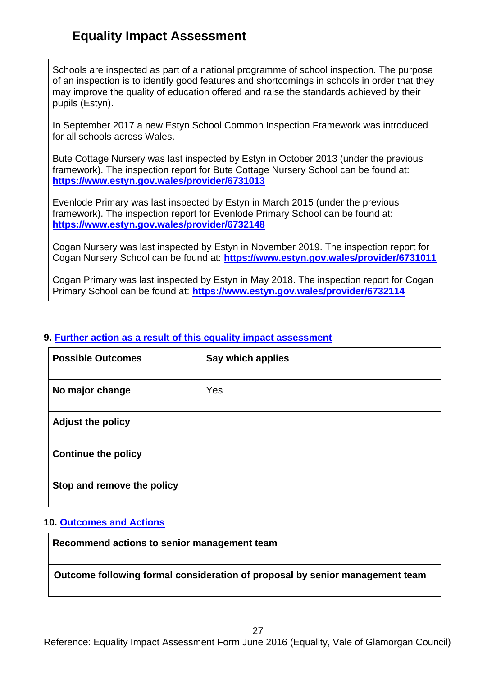Schools are inspected as part of a national programme of school inspection. The purpose of an inspection is to identify good features and shortcomings in schools in order that they may improve the quality of education offered and raise the standards achieved by their pupils (Estyn).

In September 2017 a new Estyn School Common Inspection Framework was introduced for all schools across Wales.

Bute Cottage Nursery was last inspected by Estyn in October 2013 (under the previous framework). The inspection report for Bute Cottage Nursery School can be found at: **<https://www.estyn.gov.wales/provider/6731013>**

Evenlode Primary was last inspected by Estyn in March 2015 (under the previous framework). The inspection report for Evenlode Primary School can be found at: **<https://www.estyn.gov.wales/provider/6732148>**

Cogan Nursery was last inspected by Estyn in November 2019. The inspection report for Cogan Nursery School can be found at: **<https://www.estyn.gov.wales/provider/6731011>**

Cogan Primary was last inspected by Estyn in May 2018. The inspection report for Cogan Primary School can be found at: **https://www.estyn.gov.wales/provider/6732114**

### **9. [Further action as a result of this equality impact assessment](file:///C:/Users/nhinton/Documents/Offline%20Records%20(EP)/General%20-%20Human%20Resources%20-%20Equal%20Opportunities%20-%20Line%20Manager/Revised%20Draft%20Guidance%20on%20Partnership%20EIA%20Form%2030%20July%202014.DOCX%23FurtherAction9)**

| <b>Possible Outcomes</b>   | Say which applies |
|----------------------------|-------------------|
| No major change            | Yes               |
| <b>Adjust the policy</b>   |                   |
| <b>Continue the policy</b> |                   |
| Stop and remove the policy |                   |

#### **10. [Outcomes and Actions](file:///C:/Users/nhinton/Documents/Offline%20Records%20(EP)/General%20-%20Human%20Resources%20-%20Equal%20Opportunities%20-%20Line%20Manager/Revised%20Draft%20Guidance%20on%20Partnership%20EIA%20Form%2030%20July%202014.DOCX%23OutcomesActions10)**

**Recommend actions to senior management team**

**Outcome following formal consideration of proposal by senior management team**